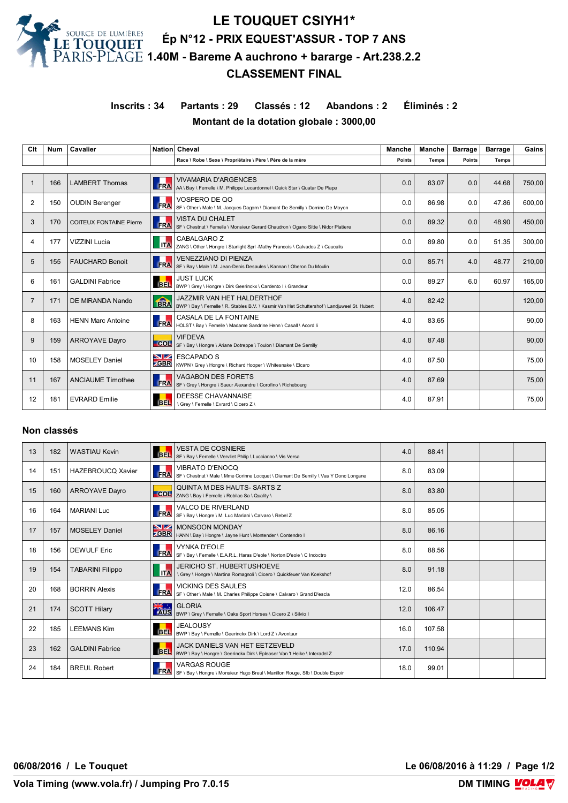

# **LE TOUQUET CSIYH1\* Ép N°12 - PRIX EQUEST'ASSUR - TOP 7 ANS 1.40M - Bareme A auchrono + bararge - Art.238.2.2 CLASSEMENT FINAL**

**Inscrits : 34 Partants : 29 Classés : 12 Abandons : 2 Éliminés : 2 Montant de la dotation globale : 3000,00**

| Clt            | <b>Num</b> | Cavalier                       |                    | Nation Cheval                                                                                                                    | <b>Manche</b> | Manche       | <b>Barrage</b> | <b>Barrage</b> | Gains  |
|----------------|------------|--------------------------------|--------------------|----------------------------------------------------------------------------------------------------------------------------------|---------------|--------------|----------------|----------------|--------|
|                |            |                                |                    | Race \ Robe \ Sexe \ Propriétaire \ Père \ Père de la mère                                                                       | Points        | <b>Temps</b> | Points         | <b>Temps</b>   |        |
|                |            |                                |                    |                                                                                                                                  |               |              |                |                |        |
|                | 166        | <b>LAMBERT Thomas</b>          | <b>FRA</b>         | <b>VIVAMARIA D'ARGENCES</b><br>AA \ Bay \ Femelle \ M. Philippe Lecardonnel \ Quick Star \ Quatar De Plape                       | 0.0           | 83.07        | 0.0            | 44.68          | 750.00 |
| $\overline{2}$ | 150        | <b>OUDIN Berenger</b>          | <b>FRA</b>         | VOSPERO DE QO<br>SF \ Other \ Male \ M. Jacques Dagorn \ Diamant De Semilly \ Domino De Movon                                    | 0.0           | 86.98        | 0.0            | 47.86          | 600.00 |
| 3              | 170        | <b>COITEUX FONTAINE Pierre</b> | FRA                | <b>VISTA DU CHALET</b><br>SF \ Chestnut \ Femelle \ Monsieur Gerard Chaudron \ Ogano Sitte \ Nidor Platiere                      | 0.0           | 89.32        | 0.0            | 48.90          | 450.00 |
| 4              | 177        | <b>VIZZINI Lucia</b>           | <b>ITA</b>         | CABALGARO Z<br>ZANG \ Other \ Hongre \ Starlight Sprl -Mathy Francois \ Calvados Z \ Caucalis                                    | 0.0           | 89.80        | 0.0            | 51.35          | 300.00 |
| 5              | 155        | <b>FAUCHARD Benoit</b>         | <b>FRA</b>         | <b>VENEZZIANO DI PIENZA</b><br>SF \ Bay \ Male \ M. Jean-Denis Desaules \ Kannan \ Oberon Du Moulin                              | 0.0           | 85.71        | 4.0            | 48.77          | 210.00 |
| 6              | 161        | <b>GALDINI Fabrice</b>         | <b>BEL</b>         | <b>JUST LUCK</b><br>BWP \ Grey \ Hongre \ Dirk Geerinckx \ Cardento I \ Grandeur                                                 | 0.0           | 89.27        | 6.0            | 60.97          | 165,00 |
| $\overline{7}$ | 171        | DE MIRANDA Nando               | <b>fina</b>        | <b>JAZZMIR VAN HET HALDERTHOF</b><br>BWP \ Bay \ Femelle \ R. Stables B.V. \ Kasmir Van Het Schuttershof \ Landjuweel St. Hubert | 4.0           | 82.42        |                |                | 120,00 |
| 8              | 163        | <b>HENN Marc Antoine</b>       | FRA                | CASALA DE LA FONTAINE<br>HOLST \ Bay \ Femelle \ Madame Sandrine Henn \ Casall \ Acord Ii                                        | 4.0           | 83.65        |                |                | 90,00  |
| 9              | 159        | <b>ARROYAVE Dayro</b>          | <b>COL</b>         | <b>VIFDEVA</b><br>SF \ Bay \ Hongre \ Ariane Dotreppe \ Toulon \ Diamant De Semilly                                              | 4.0           | 87.48        |                |                | 90,00  |
| 10             | 158        | <b>MOSELEY Daniel</b>          | NZ.<br><b>ZGBR</b> | <b>ESCAPADO S</b><br>KWPN \ Grey \ Hongre \ Richard Hooper \ Whitesnake \ Elcaro                                                 | 4.0           | 87.50        |                |                | 75,00  |
| 11             | 167        | <b>ANCIAUME Timothee</b>       | <b>FRA</b>         | <b>VAGABON DES FORETS</b><br>SF \ Grey \ Hongre \ Sueur Alexandre \ Corofino \ Richebourg                                        | 4.0           | 87.69        |                |                | 75,00  |
| 12             | 181        | <b>EVRARD Emilie</b>           | <b>BEL</b>         | <b>DEESSE CHAVANNAISE</b><br>\ Grey \ Femelle \ Evrard \ Cicero Z \                                                              | 4.0           | 87.91        |                |                | 75,00  |

#### **Non classés**

| 13 | 182 | <b>WASTIAU Kevin</b>     | <b>BEL</b> | <b>VESTA DE COSNIERE</b><br>SF \ Bay \ Femelle \ Vervliet Philip \ Luccianno \ Vis Versa                       | 4.0  | 88.41  |  |  |
|----|-----|--------------------------|------------|----------------------------------------------------------------------------------------------------------------|------|--------|--|--|
| 14 | 151 | <b>HAZEBROUCQ Xavier</b> | FRA        | <b>VIBRATO D'ENOCQ</b><br>SF \ Chestnut \ Male \ Mme Corinne Locquet \ Diamant De Semilly \ Vas Y Donc Longane | 8.0  | 83.09  |  |  |
| 15 | 160 | <b>ARROYAVE Dayro</b>    | <b>COL</b> | QUINTA M DES HAUTS-SARTS Z<br>ZANG \ Bay \ Femelle \ Robilac Sa \ Quality \                                    | 8.0  | 83.80  |  |  |
| 16 | 164 | <b>MARIANI Luc</b>       | FRA        | VALCO DE RIVERLAND<br>SF \ Bay \ Hongre \ M. Luc Mariani \ Calvaro \ Rebel Z                                   | 8.0  | 85.05  |  |  |
| 17 | 157 | <b>MOSELEY Daniel</b>    |            | MONSOON MONDAY<br>CBR  HANN \ Bay \ Hongre \ Jayne Hunt \ Montender \ Contendro I                              | 8.0  | 86.16  |  |  |
| 18 | 156 | <b>DEWULF Eric</b>       | FRA        | VYNKA D'EOLE<br>SF \ Bay \ Femelle \ E.A.R.L. Haras D'eole \ Norton D'eole \ C Indoctro                        | 8.0  | 88.56  |  |  |
| 19 | 154 | <b>TABARINI Filippo</b>  | <b>ITA</b> | <b>JERICHO ST. HUBERTUSHOEVE</b><br>\ Grey \ Hongre \ Martina Romagnoli \ Cicero \ Quickfeuer Van Koekshof     | 8.0  | 91.18  |  |  |
| 20 | 168 | <b>BORRIN Alexis</b>     | <b>FRA</b> | <b>VICKING DES SAULES</b><br>SF \ Other \ Male \ M. Charles Philippe Coisne \ Calvaro \ Grand D'escla          | 12.0 | 86.54  |  |  |
| 21 | 174 | <b>SCOTT Hilary</b>      |            | SK : GLORIA<br>AUS SWP \ Grey \ Femelle \ Oaks Sport Horses \ Cicero Z \ Silvio I                              | 12.0 | 106.47 |  |  |
| 22 | 185 | <b>LEEMANS Kim</b>       | <b>BEL</b> | <b>JEALOUSY</b><br>BWP \ Bay \ Femelle \ Geerinckx Dirk \ Lord Z \ Avontuur                                    | 16.0 | 107.58 |  |  |
| 23 | 162 | <b>GALDINI Fabrice</b>   | <b>BEL</b> | JACK DANIELS VAN HET EETZEVELD<br>BWP \ Bay \ Hongre \ Geerinckx Dirk \ Epleaser Van 't Heike \ Interadel Z    | 17.0 | 110.94 |  |  |
| 24 | 184 | <b>BREUL Robert</b>      | <b>FRA</b> | <b>VARGAS ROUGE</b><br>SF \ Bay \ Hongre \ Monsieur Hugo Breul \ Manillon Rouge, Sfb \ Double Espoir           | 18.0 | 99.01  |  |  |

**06/08/2016 / Le Touquet Le 06/08/2016 à 11:29 / Page 1/2**